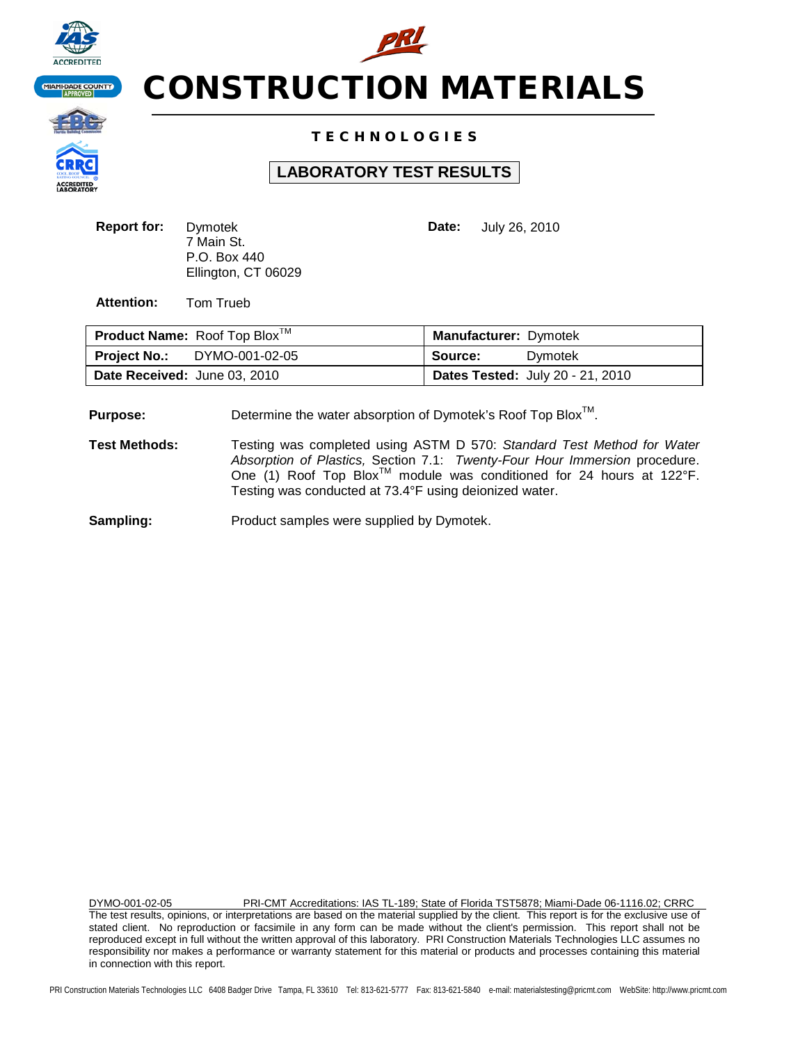



## T E C H N O L O G I E S

## **LABORATORY TEST RESULTS**

| <b>Report for:</b> | Dymotek             |
|--------------------|---------------------|
|                    | 7 Main St.          |
|                    | P.O. Box 440        |
|                    | Ellington, CT 06029 |

**Date:** July 26, 2010

**Attention:** Tom Trueb

|                              | <b>Product Name:</b> Roof Top Blox <sup>TM</sup> | <b>Manufacturer: Dymotek</b> |                                         |
|------------------------------|--------------------------------------------------|------------------------------|-----------------------------------------|
| <b>Project No.:</b>          | DYMO-001-02-05                                   | Source:                      | Dvmotek                                 |
| Date Received: June 03, 2010 |                                                  |                              | <b>Dates Tested: July 20 - 21, 2010</b> |

**Purpose:** Determine the water absorption of Dymotek's Roof Top Blox<sup>™</sup>.

**Test Methods:** Testing was completed using ASTM D 570: *Standard Test Method for Water Absorption of Plastics,* Section 7.1: *Twenty-Four Hour Immersion* procedure. One (1) Roof Top Blox<sup>™</sup> module was conditioned for 24 hours at 122°F. Testing was conducted at 73.4°F using deionized water.

**Sampling:** Product samples were supplied by Dymotek.

DYMO-001-02-05 PRI-CMT Accreditations: IAS TL-189; State of Florida TST5878; Miami-Dade 06-1116.02; CRRC The test results, opinions, or interpretations are based on the material supplied by the client. This report is for the exclusive use of stated client. No reproduction or facsimile in any form can be made without the client's permission. This report shall not be reproduced except in full without the written approval of this laboratory. PRI Construction Materials Technologies LLC assumes no responsibility nor makes a performance or warranty statement for this material or products and processes containing this material in connection with this report.